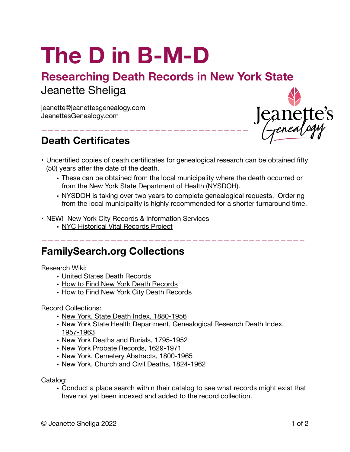# **The D in B-M-D**

## **Researching Death Records in New York State** Jeanette Sheliga

—————————————————————————————————

jeanette@jeanettesgenealogy.com JeanettesGenealogy.com

## **Death Certificates**



- Uncertified copies of death certificates for genealogical research can be obtained fifty (50) years after the date of the death.
	- These can be obtained from the local municipality where the death occurred or from the [New York State Department of Health \(NYSDOH\)](https://www.health.ny.gov/vital_records/genealogy.htm).
	- NYSDOH is taking over two years to complete genealogical requests. Ordering from the local municipality is highly recommended for a shorter turnaround time.

——————————————————————————————————————————

- NEW! New York City Records & Information Services
	- [NYC Historical Vital Records Project](https://www1.nyc.gov/site/records/index.page)

#### **FamilySearch.org Collections**

Research Wiki:

- [United States Death Records](https://www.familysearch.org/en/wiki/United_States_Death_Records)
- [How to Find New York Death Records](https://www.familysearch.org/en/wiki/How_to_Find_New_York_Death_Records)
- [How to Find New York City Death Records](https://www.familysearch.org/en/wiki/How_to_Find_New_York_City_Death_Records)

Record Collections:

- [New York, State Death Index, 1880-1956](https://www.familysearch.org/search/collection/2803479)
- [New York State Health Department, Genealogical Research Death Index,](https://www.familysearch.org/search/collection/2285574)  [1957-1963](https://www.familysearch.org/search/collection/2285574)
- [New York Deaths and Burials, 1795-1952](https://www.familysearch.org/search/collection/1680846)
- [New York Probate Records, 1629-1971](https://www.familysearch.org/search/collection/1920234)
- [New York, Cemetery Abstracts, 1800-1965](https://www.familysearch.org/search/collection/2552111)
- [New York, Church and Civil Deaths, 1824-1962](https://www.familysearch.org/search/collection/2373798)

Catalog:

• Conduct a place search within their catalog to see what records might exist that have not yet been indexed and added to the record collection.